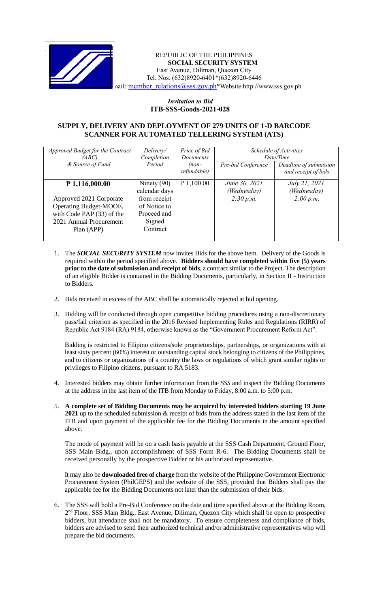

### REPUBLIC OF THE PHILIPPINES **SOCIAL SECURITY SYSTEM** East Avenue, Diliman, Quezon City Tel. Nos. (632)8920-6401\*(632)8920-6446 nail: member\_relations@sss.gov.ph\*Website http://www.sss.gov.ph

# *Invitation to Bid*  **ITB-SSS-Goods-2021-028**

## **SUPPLY, DELIVERY AND DEPLOYMENT OF 279 UNITS OF 1-D BARCODE SCANNER FOR AUTOMATED TELLERING SYSTEM (ATS)**

| Approved Budget for the Contract<br>(ABC)<br>& Source of Fund                                                                               | Delivery/<br>Completion<br>Period                                                                   | Price of Bid<br>Documents<br>$(non-$<br>refundable) | Pre-bid Conference                        | Schedule of Activities<br>Date/Time<br>Deadline of submission<br>and receipt of bids |
|---------------------------------------------------------------------------------------------------------------------------------------------|-----------------------------------------------------------------------------------------------------|-----------------------------------------------------|-------------------------------------------|--------------------------------------------------------------------------------------|
| $P$ 1,116,000.00<br>Approved 2021 Corporate<br>Operating Budget-MOOE,<br>with Code PAP (33) of the<br>2021 Annual Procurement<br>Plan (APP) | Ninety $(90)$<br>calendar days<br>from receipt<br>of Notice to<br>Proceed and<br>Signed<br>Contract | P 1,100.00                                          | June 30, 2021<br>(Wednesday)<br>2:30 p.m. | July 21, 2021<br>(Wednesday)<br>2:00 p.m.                                            |

- 1. The *SOCIAL SECURITY SYSTEM* now invites Bids for the above item. Delivery of the Goods is required within the period specified above. **Bidders should have completed within five (5) years prior to the date of submission and receipt of bids**, a contract similar to the Project. The description of an eligible Bidder is contained in the Bidding Documents, particularly, in Section II - Instruction to Bidders.
- 2. Bids received in excess of the ABC shall be automatically rejected at bid opening.
- 3. Bidding will be conducted through open competitive bidding procedures using a non-discretionary pass/fail criterion as specified in the 2016 Revised Implementing Rules and Regulations (RIRR) of Republic Act 9184 (RA) 9184, otherwise known as the "Government Procurement Reform Act".

Bidding is restricted to Filipino citizens/sole proprietorships, partnerships, or organizations with at least sixty percent (60%) interest or outstanding capital stock belonging to citizens of the Philippines, and to citizens or organizations of a country the laws or regulations of which grant similar rights or privileges to Filipino citizens, pursuant to RA 5183.

- 4. Interested bidders may obtain further information from the *SSS* and inspect the Bidding Documents at the address in the last item of the ITB from Monday to Friday, 8:00 a.m. to 5:00 p.m.
- 5. **A complete set of Bidding Documents may be acquired by interested bidders starting 19 June 2021** up to the scheduled submission & receipt of bids from the address stated in the last item of the ITB and upon payment of the applicable fee for the Bidding Documents in the amount specified above.

The mode of payment will be on a cash basis payable at the SSS Cash Department, Ground Floor, SSS Main Bldg., upon accomplishment of SSS Form R-6. The Bidding Documents shall be received personally by the prospective Bidder or his authorized representative.

It may also be **downloaded free of charge** from the website of the Philippine Government Electronic Procurement System (PhilGEPS) and the website of the SSS*,* provided that Bidders shall pay the applicable fee for the Bidding Documents not later than the submission of their bids.

6. The SSS will hold a Pre-Bid Conference on the date and time specified above at the Bidding Room, 2<sup>nd</sup> Floor, SSS Main Bldg., East Avenue, Diliman, Quezon City which shall be open to prospective bidders, but attendance shall not be mandatory. To ensure completeness and compliance of bids, bidders are advised to send their authorized technical and/or administrative representatives who will prepare the bid documents.